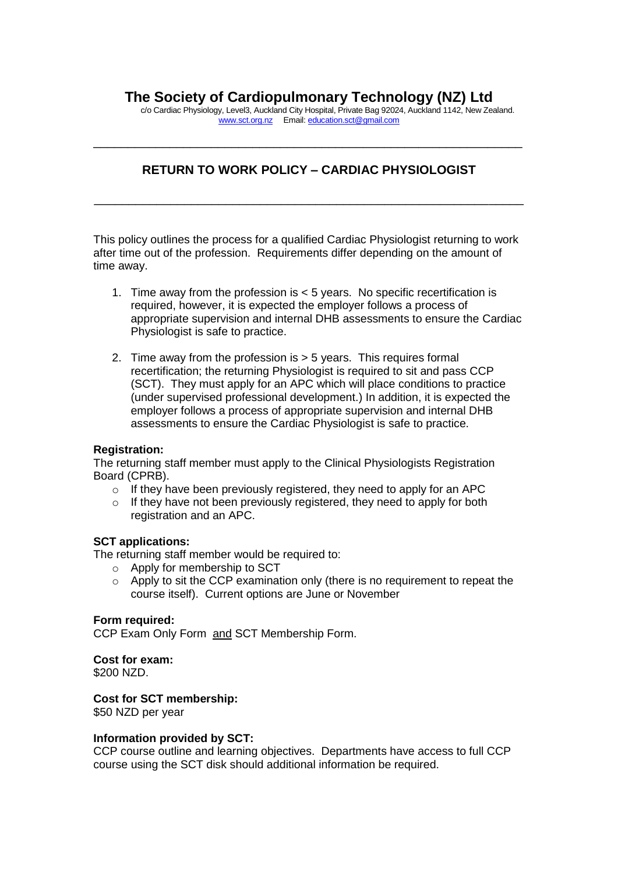# **The Society of Cardiopulmonary Technology (NZ) Ltd**

c/o Cardiac Physiology, Level3, Auckland City Hospital, Private Bag 92024, Auckland 1142, New Zealand. [www.sct.org.nz](http://www.sct.org.nz/) Email: [education.sct@gmail.com](mailto:education.sct@gmail.com)

# **RETURN TO WORK POLICY – CARDIAC PHYSIOLOGIST**

\_\_\_\_\_\_\_\_\_\_\_\_\_\_\_\_\_\_\_\_\_\_\_\_\_\_\_\_\_\_\_\_\_\_\_\_\_\_\_\_\_\_\_\_\_\_\_\_\_\_\_\_\_\_\_\_\_\_\_\_\_\_

\_\_\_\_\_\_\_\_\_\_\_\_\_\_\_\_\_\_\_\_\_\_\_\_\_\_\_\_\_\_\_\_\_\_\_\_\_\_\_\_\_\_\_\_\_\_\_\_\_\_\_\_\_\_\_\_\_\_\_\_\_\_

This policy outlines the process for a qualified Cardiac Physiologist returning to work after time out of the profession. Requirements differ depending on the amount of time away.

- 1. Time away from the profession is < 5 years. No specific recertification is required, however, it is expected the employer follows a process of appropriate supervision and internal DHB assessments to ensure the Cardiac Physiologist is safe to practice.
- 2. Time away from the profession is > 5 years. This requires formal recertification; the returning Physiologist is required to sit and pass CCP (SCT). They must apply for an APC which will place conditions to practice (under supervised professional development.) In addition, it is expected the employer follows a process of appropriate supervision and internal DHB assessments to ensure the Cardiac Physiologist is safe to practice.

#### **Registration:**

The returning staff member must apply to the Clinical Physiologists Registration Board (CPRB).

- $\circ$  If they have been previously registered, they need to apply for an APC
- o If they have not been previously registered, they need to apply for both registration and an APC.

## **SCT applications:**

The returning staff member would be required to:

- o Apply for membership to SCT
- $\circ$  Apply to sit the CCP examination only (there is no requirement to repeat the course itself). Current options are June or November

#### **Form required:**

CCP Exam Only Form and SCT Membership Form.

## **Cost for exam:**

\$200 NZD.

## **Cost for SCT membership:**

\$50 NZD per year

#### **Information provided by SCT:**

CCP course outline and learning objectives. Departments have access to full CCP course using the SCT disk should additional information be required.